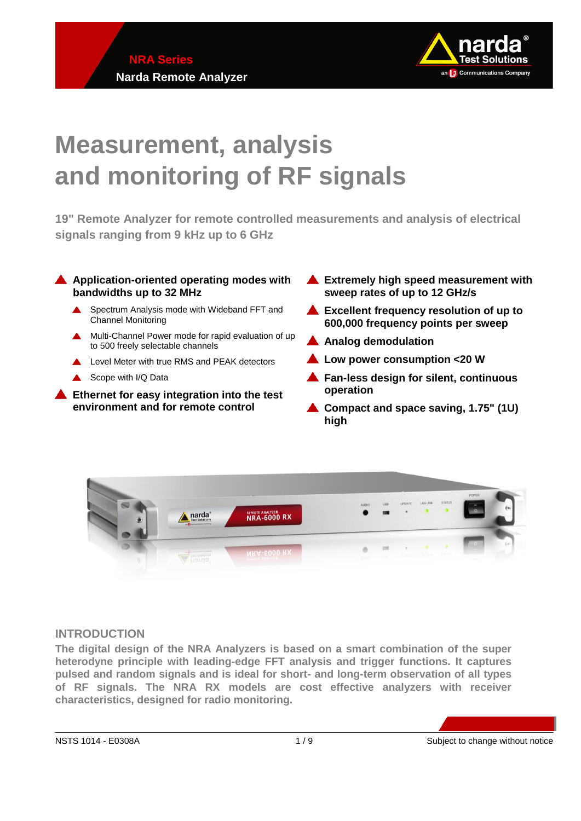

# **Measurement, analysis and monitoring of RF signals**

**19" Remote Analyzer for remote controlled measurements and analysis of electrical signals ranging from 9 kHz up to 6 GHz**

## **A** Application-oriented operating modes with **bandwidths up to 32 MHz**

- Spectrum Analysis mode with Wideband FFT and  $\blacktriangle$ Channel Monitoring
- Multi-Channel Power mode for rapid evaluation of up to 500 freely selectable channels
- **A** Level Meter with true RMS and PEAK detectors
- Scope with I/Q Data

**Ethernet for easy integration into the test environment and for remote control**

- **Extremely high speed measurement with sweep rates of up to 12 GHz/s**
- **Excellent frequency resolution of up to 600,000 frequency points per sweep**
- **A** Analog demodulation
- **Low power consumption <20 W**
- **Fan-less design for silent, continuous operation**
- **Compact and space saving, 1.75" (1U) high**



# **INTRODUCTION**

**The digital design of the NRA Analyzers is based on a smart combination of the super heterodyne principle with leading-edge FFT analysis and trigger functions. It captures pulsed and random signals and is ideal for short- and long-term observation of all types of RF signals. The NRA RX models are cost effective analyzers with receiver characteristics, designed for radio monitoring.**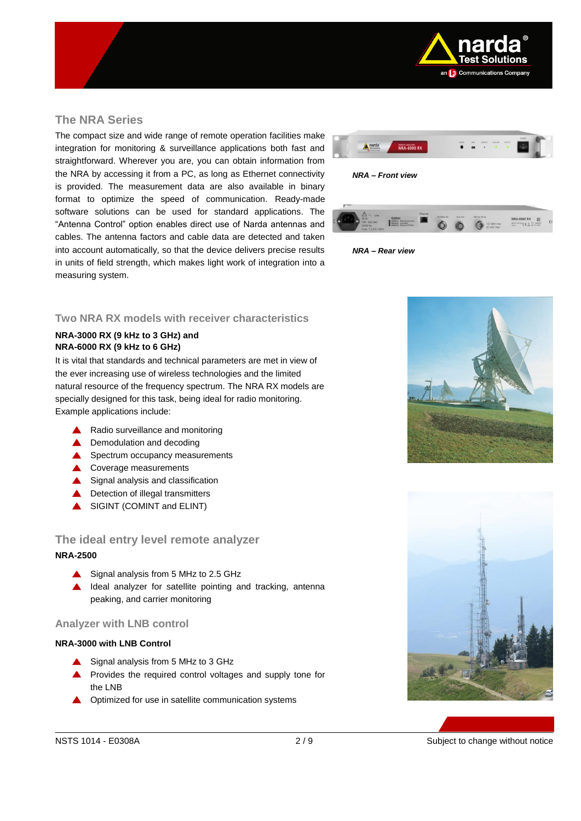

## **The NRA Series**

The compact size and wide range of remote operation facilities make integration for monitoring & surveillance applications both fast and straightforward. Wherever you are, you can obtain information from the NRA by accessing it from a PC, as long as Ethernet connectivity is provided. The measurement data are also available in binary format to optimize the speed of communication. Ready-made software solutions can be used for standard applications. The "Antenna Control" option enables direct use of Narda antennas and cables. The antenna factors and cable data are detected and taken into account automatically, so that the device delivers precise results in units of field strength, which makes light work of integration into a measuring system.





## **Two NRA RX models with receiver characteristics**

## **NRA-3000 RX (9 kHz to 3 GHz) and NRA-6000 RX (9 kHz to 6 GHz)**

It is vital that standards and technical parameters are met in view of the ever increasing use of wireless technologies and the limited natural resource of the frequency spectrum. The NRA RX models are specially designed for this task, being ideal for radio monitoring. Example applications include:

- ▲ Radio surveillance and monitoring
- **▲** Demodulation and decoding
- Spectrum occupancy measurements
- ▲ Coverage measurements
- $\triangle$  Signal analysis and classification
- **▲** Detection of illegal transmitters
- SIGINT (COMINT and ELINT)

# **The ideal entry level remote analyzer NRA-2500**

- Signal analysis from 5 MHz to 2.5 GHz
- **A** Ideal analyzer for satellite pointing and tracking, antenna peaking, and carrier monitoring

## **Analyzer with LNB control**

## **NRA-3000 with LNB Control**

- ▲ Signal analysis from 5 MHz to 3 GHz
- **A** Provides the required control voltages and supply tone for the LNB
- **△** Optimized for use in satellite communication systems



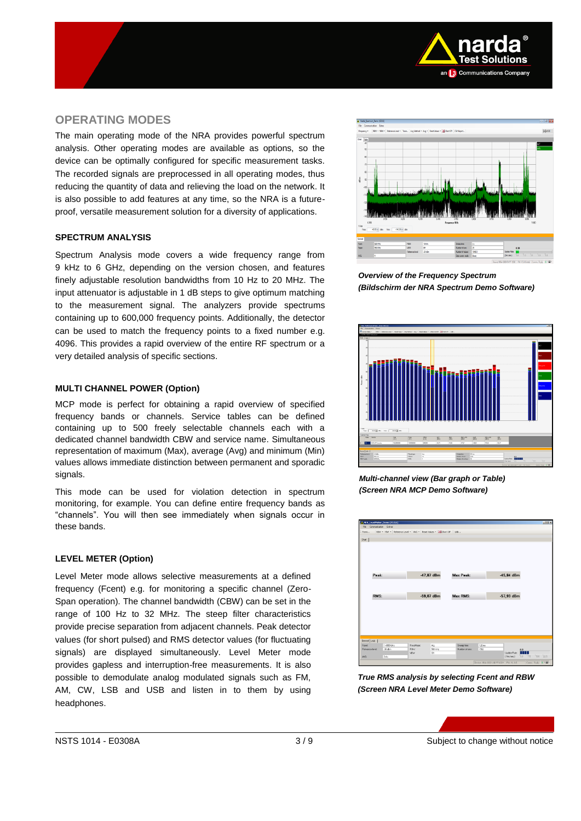

## **OPERATING MODES**

The main operating mode of the NRA provides powerful spectrum analysis. Other operating modes are available as options, so the device can be optimally configured for specific measurement tasks. The recorded signals are preprocessed in all operating modes, thus reducing the quantity of data and relieving the load on the network. It is also possible to add features at any time, so the NRA is a futureproof, versatile measurement solution for a diversity of applications.

## **SPECTRUM ANALYSIS**

Spectrum Analysis mode covers a wide frequency range from 9 kHz to 6 GHz, depending on the version chosen, and features finely adjustable resolution bandwidths from 10 Hz to 20 MHz. The input attenuator is adjustable in 1 dB steps to give optimum matching to the measurement signal. The analyzers provide spectrums containing up to 600,000 frequency points. Additionally, the detector can be used to match the frequency points to a fixed number e.g. 4096. This provides a rapid overview of the entire RF spectrum or a very detailed analysis of specific sections.

## **MULTI CHANNEL POWER (Option)**

MCP mode is perfect for obtaining a rapid overview of specified frequency bands or channels. Service tables can be defined containing up to 500 freely selectable channels each with a dedicated channel bandwidth CBW and service name. Simultaneous representation of maximum (Max), average (Avg) and minimum (Min) values allows immediate distinction between permanent and sporadic signals.

This mode can be used for violation detection in spectrum monitoring, for example. You can define entire frequency bands as "channels". You will then see immediately when signals occur in these bands.

## **LEVEL METER (Option)**

Level Meter mode allows selective measurements at a defined frequency (Fcent) e.g. for monitoring a specific channel (Zero-Span operation). The channel bandwidth (CBW) can be set in the range of 100 Hz to 32 MHz. The steep filter characteristics provide precise separation from adjacent channels. Peak detector values (for short pulsed) and RMS detector values (for fluctuating signals) are displayed simultaneously. Level Meter mode provides gapless and interruption-free measurements. It is also possible to demodulate analog modulated signals such as FM, AM, CW, LSB and USB and listen in to them by using headphones.



*Overview of the Frequency Spectrum (Bildschirm der NRA Spectrum Demo Software)*



*Multi-channel view (Bar graph or Table) (Screen NRA MCP Demo Software)*



 *True RMS analysis by selecting Fcent and RBW (Screen NRA Level Meter Demo Software)*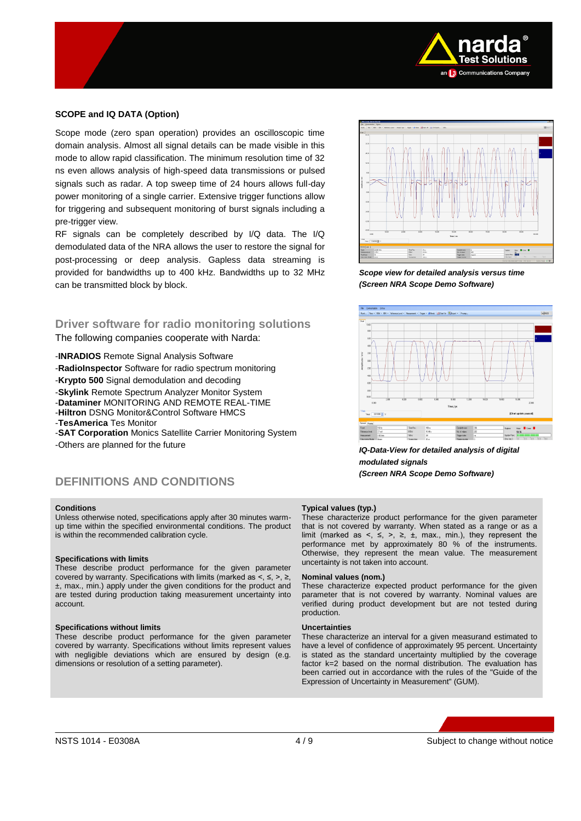

### **SCOPE and IQ DATA (Option)**

Scope mode (zero span operation) provides an oscilloscopic time domain analysis. Almost all signal details can be made visible in this mode to allow rapid classification. The minimum resolution time of 32 ns even allows analysis of high-speed data transmissions or pulsed signals such as radar. A top sweep time of 24 hours allows full-day power monitoring of a single carrier. Extensive trigger functions allow for triggering and subsequent monitoring of burst signals including a pre-trigger view.

RF signals can be completely described by I/Q data. The I/Q demodulated data of the NRA allows the user to restore the signal for post-processing or deep analysis. Gapless data streaming is provided for bandwidths up to 400 kHz. Bandwidths up to 32 MHz can be transmitted block by block.

**Driver software for radio monitoring solutions** The following companies cooperate with Narda:

-**INRADIOS** Remote Signal Analysis Software -**RadioInspector** Software for radio spectrum monitoring -**Krypto 500** Signal demodulation and decoding -**Skylink** Remote Spectrum Analyzer Monitor System -**Dataminer** MONITORING AND REMOTE REAL-TIME -**Hiltron** DSNG Monitor&Control Software HMCS -**TesAmerica** Tes Monitor -**SAT Corporation** Monics Satellite Carrier Monitoring System

-Others are planned for the future

# **DEFINITIONS AND CONDITIONS**

#### **Conditions**

Unless otherwise noted, specifications apply after 30 minutes warmup time within the specified environmental conditions. The product is within the recommended calibration cycle.

#### **Specifications with limits**

These describe product performance for the given parameter covered by warranty. Specifications with limits (marked as  $\leq, \leq, \geq, \geq, \leq$ ±, max., min.) apply under the given conditions for the product and are tested during production taking measurement uncertainty into account.

#### **Specifications without limits**

These describe product performance for the given parameter covered by warranty. Specifications without limits represent values with negligible deviations which are ensured by design (e.g. dimensions or resolution of a setting parameter).



*Scope view for detailed analysis versus time (Screen NRA Scope Demo Software)*



*IQ-Data-View for detailed analysis of digital modulated signals (Screen NRA Scope Demo Software)*

#### **Typical values (typ.)**

These characterize product performance for the given parameter that is not covered by warranty. When stated as a range or as a limit (marked as <,  $\le$ , >,  $\ge$ ,  $\pm$ , max., min.), they represent the performance met by approximately 80 % of the instruments. Otherwise, they represent the mean value. The measurement uncertainty is not taken into account.

#### **Nominal values (nom.)**

These characterize expected product performance for the given parameter that is not covered by warranty. Nominal values are verified during product development but are not tested during production.

#### **Uncertainties**

These characterize an interval for a given measurand estimated to have a level of confidence of approximately 95 percent. Uncertainty is stated as the standard uncertainty multiplied by the coverage factor k=2 based on the normal distribution. The evaluation has been carried out in accordance with the rules of the "Guide of the Expression of Uncertainty in Measurement" (GUM).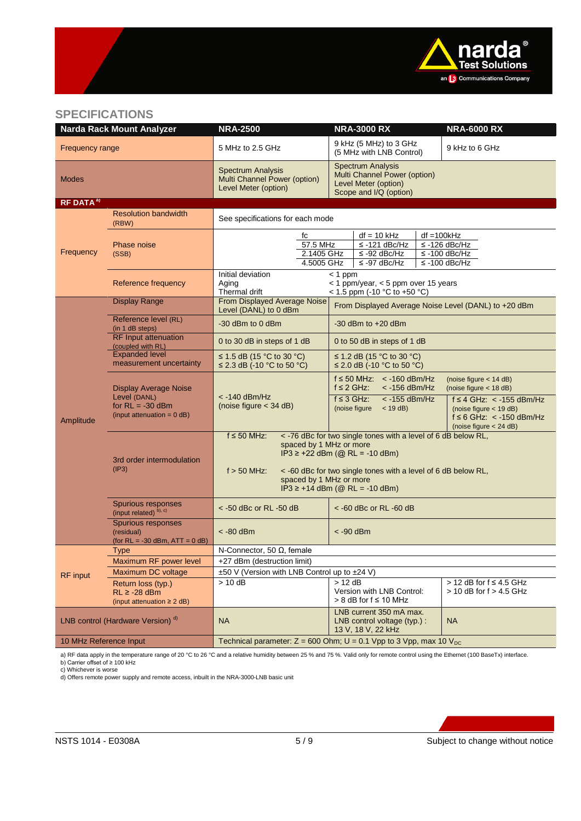

# **SPECIFICATIONS**

| <b>Narda Rack Mount Analyzer</b>             |                                                                                                    | <b>NRA-2500</b>                                                                                                                                                                                                                                                                                    | <b>NRA-3000 RX</b>                                                                                         |                                                                                                        |               | <b>NRA-6000 RX</b>                                                                                                                                                             |  |  |
|----------------------------------------------|----------------------------------------------------------------------------------------------------|----------------------------------------------------------------------------------------------------------------------------------------------------------------------------------------------------------------------------------------------------------------------------------------------------|------------------------------------------------------------------------------------------------------------|--------------------------------------------------------------------------------------------------------|---------------|--------------------------------------------------------------------------------------------------------------------------------------------------------------------------------|--|--|
| <b>Frequency range</b>                       |                                                                                                    | 5 MHz to 2.5 GHz                                                                                                                                                                                                                                                                                   | 9 kHz (5 MHz) to 3 GHz<br>(5 MHz with LNB Control)                                                         |                                                                                                        |               | 9 kHz to 6 GHz                                                                                                                                                                 |  |  |
| <b>Modes</b>                                 |                                                                                                    | <b>Spectrum Analysis</b><br>Multi Channel Power (option)<br>Level Meter (option)                                                                                                                                                                                                                   | <b>Spectrum Analysis</b><br>Multi Channel Power (option)<br>Level Meter (option)<br>Scope and I/Q (option) |                                                                                                        |               |                                                                                                                                                                                |  |  |
| RF DATA <sup>a)</sup>                        |                                                                                                    |                                                                                                                                                                                                                                                                                                    |                                                                                                            |                                                                                                        |               |                                                                                                                                                                                |  |  |
| Frequency                                    | <b>Resolution bandwidth</b><br>(RBW)                                                               | See specifications for each mode                                                                                                                                                                                                                                                                   |                                                                                                            |                                                                                                        |               |                                                                                                                                                                                |  |  |
|                                              | Phase noise<br>(SSB)                                                                               | fc<br>57.5 MHz<br>2.1405 GHz<br>4.5005 GHz                                                                                                                                                                                                                                                         |                                                                                                            | $df = 10$ kHz<br>$\leq$ -121 dBc/Hz<br>$\leq$ -92 dBc/Hz<br>$\leq$ -97 dBc/Hz                          | $df = 100kHz$ | $\leq$ -126 dBc/Hz<br>$\leq$ -100 dBc/Hz<br>$\leq$ -100 dBc/Hz                                                                                                                 |  |  |
|                                              | Reference frequency                                                                                | Initial deviation<br>Aging<br>Thermal drift                                                                                                                                                                                                                                                        | $\sqrt{2}$ 1 ppm<br>$<$ 1 ppm/year, $<$ 5 ppm over 15 years<br>< 1.5 ppm (-10 °C to +50 °C)                |                                                                                                        |               |                                                                                                                                                                                |  |  |
| Amplitude                                    | <b>Display Range</b>                                                                               | From Displayed Average Noise<br>Level (DANL) to 0 dBm                                                                                                                                                                                                                                              | From Displayed Average Noise Level (DANL) to +20 dBm                                                       |                                                                                                        |               |                                                                                                                                                                                |  |  |
|                                              | Reference level (RL)<br>(in 1 dB steps)                                                            | -30 dBm to 0 dBm                                                                                                                                                                                                                                                                                   |                                                                                                            | $-30$ dBm to $+20$ dBm                                                                                 |               |                                                                                                                                                                                |  |  |
|                                              | <b>RF Input attenuation</b><br>(coupled with RL)                                                   | 0 to 30 dB in steps of 1 dB                                                                                                                                                                                                                                                                        | 0 to 50 dB in steps of 1 dB                                                                                |                                                                                                        |               |                                                                                                                                                                                |  |  |
|                                              | <b>Expanded level</b><br>measurement uncertainty                                                   | ≤ 1.5 dB (15 °C to 30 °C)<br>≤ 2.3 dB (-10 $°C$ to 50 $°C$ )                                                                                                                                                                                                                                       | ≤ 1.2 dB (15 °C to 30 °C)<br>≤ 2.0 dB (-10 $°C$ to 50 $°C$ )                                               |                                                                                                        |               |                                                                                                                                                                                |  |  |
|                                              | <b>Display Average Noise</b><br>Level (DANL)<br>for $RL = -30$ dBm<br>(input attenuation = $0$ dB) | $<$ -140 dBm/Hz<br>(noise figure $<$ 34 dB)                                                                                                                                                                                                                                                        | $f \leq 2$ GHz:<br>$f \leq 3$ GHz:                                                                         | $f \le 50$ MHz: $\lt$ -160 dBm/Hz<br>$<$ -156 dBm/Hz<br>$<$ -155 dBm/Hz<br>(noise figure<br>$<$ 19 dB) |               | (noise figure $<$ 14 dB)<br>(noise figure $<$ 18 dB)<br>$f \leq 4$ GHz: < -155 dBm/Hz<br>(noise figure $<$ 19 dB)<br>$f \leq 6$ GHz: < -150 dBm/Hz<br>(noise figure $<$ 24 dB) |  |  |
|                                              | 3rd order intermodulation<br>(IP3)                                                                 | $f \leq 50$ MHz:<br>< -76 dBc for two single tones with a level of 6 dB below RL,<br>spaced by 1 MHz or more<br>$IP3 ≥ +22$ dBm (@ RL = -10 dBm)<br>$f > 50$ MHz:<br><-60 dBc for two single tones with a level of 6 dB below RL,<br>spaced by 1 MHz or more<br>$IP3 \ge +14$ dBm (@ RL = -10 dBm) |                                                                                                            |                                                                                                        |               |                                                                                                                                                                                |  |  |
|                                              | Spurious responses<br>(input related) <sup>b), c)</sup>                                            | $<$ -50 dBc or RL -50 dB                                                                                                                                                                                                                                                                           | $<$ -60 dBc or RL -60 dB                                                                                   |                                                                                                        |               |                                                                                                                                                                                |  |  |
|                                              | Spurious responses<br>(residual)<br>(for $RL = -30$ dBm, $ATT = 0$ dB)                             | $< -80$ dBm                                                                                                                                                                                                                                                                                        | $<$ -90 dBm                                                                                                |                                                                                                        |               |                                                                                                                                                                                |  |  |
|                                              | <b>Type</b>                                                                                        | N-Connector, 50 $\Omega$ , female                                                                                                                                                                                                                                                                  |                                                                                                            |                                                                                                        |               |                                                                                                                                                                                |  |  |
| <b>RF</b> input                              | Maximum RF power level                                                                             | +27 dBm (destruction limit)                                                                                                                                                                                                                                                                        |                                                                                                            |                                                                                                        |               |                                                                                                                                                                                |  |  |
|                                              | Maximum DC voltage                                                                                 | ±50 V (Version with LNB Control up to ±24 V)                                                                                                                                                                                                                                                       |                                                                                                            |                                                                                                        |               |                                                                                                                                                                                |  |  |
|                                              | Return loss (typ.)<br>$RL \geq -28$ dBm<br>(input attenuation $\geq 2$ dB)                         | $> 10 \overline{dB}$                                                                                                                                                                                                                                                                               | $> 12$ dB<br>Version with LNB Control:<br>$> 8$ dB for f $\leq 10$ MHz                                     |                                                                                                        |               | $>$ 12 dB for f $\leq$ 4.5 GHz<br>$>$ 10 dB for f $>$ 4.5 GHz                                                                                                                  |  |  |
| LNB control (Hardware Version) <sup>d)</sup> |                                                                                                    | <b>NA</b>                                                                                                                                                                                                                                                                                          | LNB current 350 mA max.<br>LNB control voltage (typ.) :<br>13 V, 18 V, 22 kHz                              |                                                                                                        |               | <b>NA</b>                                                                                                                                                                      |  |  |
| 10 MHz Reference Input                       |                                                                                                    | Technical parameter: $Z = 600$ Ohm; $U = 0.1$ Vpp to 3 Vpp, max 10 V <sub>pc</sub>                                                                                                                                                                                                                 |                                                                                                            |                                                                                                        |               |                                                                                                                                                                                |  |  |

a) RF data apply in the temperature range of 20 °C to 26 °C and a relative humidity between 25 % and 75 %. Valid only for remote control using the Ethernet (100 BaseTx) interface.<br>b) Carrier offset of ≥ 100 kHz<br>c) Offers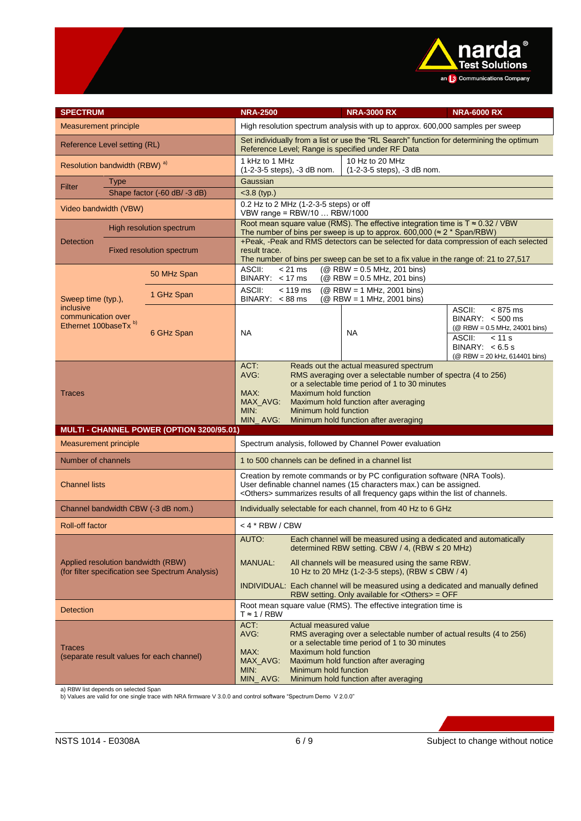

| <b>SPECTRUM</b>                                                                        |                           |                                                                                                                                                                                                                                           | <b>NRA-2500</b>                                                                                                                                                                                                                                                                                                                                      |                                                                               |  | <b>NRA-3000 RX</b> | <b>NRA-6000 RX</b>                                                          |  |
|----------------------------------------------------------------------------------------|---------------------------|-------------------------------------------------------------------------------------------------------------------------------------------------------------------------------------------------------------------------------------------|------------------------------------------------------------------------------------------------------------------------------------------------------------------------------------------------------------------------------------------------------------------------------------------------------------------------------------------------------|-------------------------------------------------------------------------------|--|--------------------|-----------------------------------------------------------------------------|--|
| <b>Measurement principle</b>                                                           |                           |                                                                                                                                                                                                                                           | High resolution spectrum analysis with up to approx. 600,000 samples per sweep                                                                                                                                                                                                                                                                       |                                                                               |  |                    |                                                                             |  |
| <b>Reference Level setting (RL)</b>                                                    |                           |                                                                                                                                                                                                                                           | Set individually from a list or use the "RL Search" function for determining the optimum<br>Reference Level; Range is specified under RF Data                                                                                                                                                                                                        |                                                                               |  |                    |                                                                             |  |
| Resolution bandwidth (RBW) <sup>a)</sup>                                               |                           |                                                                                                                                                                                                                                           | 1 kHz to 1 MHz                                                                                                                                                                                                                                                                                                                                       | 10 Hz to 20 MHz<br>(1-2-3-5 steps), -3 dB nom.<br>(1-2-3-5 steps), -3 dB nom. |  |                    |                                                                             |  |
| Filter                                                                                 | <b>Type</b>               |                                                                                                                                                                                                                                           | Gaussian                                                                                                                                                                                                                                                                                                                                             |                                                                               |  |                    |                                                                             |  |
|                                                                                        |                           | Shape factor (-60 dB/-3 dB)                                                                                                                                                                                                               | $<$ 3.8 (typ.)                                                                                                                                                                                                                                                                                                                                       |                                                                               |  |                    |                                                                             |  |
| Video bandwidth (VBW)                                                                  |                           |                                                                                                                                                                                                                                           | 0.2 Hz to 2 MHz (1-2-3-5 steps) or off<br>VBW range = RBW/10  RBW/1000                                                                                                                                                                                                                                                                               |                                                                               |  |                    |                                                                             |  |
| Detection                                                                              | High resolution spectrum  |                                                                                                                                                                                                                                           | Root mean square value (RMS). The effective integration time is $T \approx 0.32$ / VBW<br>The number of bins per sweep is up to approx. 600,000 ( $\approx$ 2 $*$ Span/RBW)                                                                                                                                                                          |                                                                               |  |                    |                                                                             |  |
|                                                                                        | Fixed resolution spectrum |                                                                                                                                                                                                                                           | +Peak, -Peak and RMS detectors can be selected for data compression of each selected<br>result trace.<br>The number of bins per sweep can be set to a fix value in the range of: 21 to 27,517                                                                                                                                                        |                                                                               |  |                    |                                                                             |  |
|                                                                                        |                           | 50 MHz Span                                                                                                                                                                                                                               | ASCII:<br>$(Q$ RBW = 0.5 MHz, 201 bins)<br>$< 21$ ms<br>BINARY: < 17 ms<br>(@ RBW = 0.5 MHz, 201 bins)                                                                                                                                                                                                                                               |                                                                               |  |                    |                                                                             |  |
| Sweep time (typ.),                                                                     |                           | 1 GHz Span                                                                                                                                                                                                                                | ASCII:<br>$< 119$ ms<br>(@ RBW = 1 MHz, 2001 bins)<br>BINARY: $< 88$ ms<br>(@ RBW = 1 MHz, 2001 bins)                                                                                                                                                                                                                                                |                                                                               |  |                    |                                                                             |  |
| inclusive<br>communication over<br>Ethernet 100baseTx <sup>b)</sup>                    |                           | 6 GHz Span                                                                                                                                                                                                                                |                                                                                                                                                                                                                                                                                                                                                      |                                                                               |  | <b>NA</b>          | ASCII:<br>$< 875$ ms<br>$BINARY: < 500$ ms<br>(@ RBW = 0.5 MHz, 24001 bins) |  |
|                                                                                        |                           |                                                                                                                                                                                                                                           | <b>NA</b>                                                                                                                                                                                                                                                                                                                                            |                                                                               |  |                    | ASCII:<br>$< 11$ s<br>BINARY: $< 6.5$ s<br>(@ RBW = 20 kHz, 614401 bins)    |  |
| <b>Traces</b>                                                                          |                           |                                                                                                                                                                                                                                           | ACT:<br>Reads out the actual measured spectrum<br>AVG:<br>RMS averaging over a selectable number of spectra (4 to 256)<br>or a selectable time period of 1 to 30 minutes<br>Maximum hold function<br>MAX:<br>MAX_AVG:<br>Maximum hold function after averaging<br>Minimum hold function<br>MIN:<br>MIN_AVG:<br>Minimum hold function after averaging |                                                                               |  |                    |                                                                             |  |
| MULTI - CHANNEL POWER (OPTION 3200/95.01)                                              |                           |                                                                                                                                                                                                                                           |                                                                                                                                                                                                                                                                                                                                                      |                                                                               |  |                    |                                                                             |  |
| <b>Measurement principle</b>                                                           |                           |                                                                                                                                                                                                                                           | Spectrum analysis, followed by Channel Power evaluation                                                                                                                                                                                                                                                                                              |                                                                               |  |                    |                                                                             |  |
| Number of channels                                                                     |                           |                                                                                                                                                                                                                                           | 1 to 500 channels can be defined in a channel list                                                                                                                                                                                                                                                                                                   |                                                                               |  |                    |                                                                             |  |
| <b>Channel lists</b>                                                                   |                           | Creation by remote commands or by PC configuration software (NRA Tools).<br>User definable channel names (15 characters max.) can be assigned.<br><others> summarizes results of all frequency gaps within the list of channels.</others> |                                                                                                                                                                                                                                                                                                                                                      |                                                                               |  |                    |                                                                             |  |
|                                                                                        |                           | Channel bandwidth CBW (-3 dB nom.)                                                                                                                                                                                                        | Individually selectable for each channel, from 40 Hz to 6 GHz                                                                                                                                                                                                                                                                                        |                                                                               |  |                    |                                                                             |  |
| Roll-off factor                                                                        |                           |                                                                                                                                                                                                                                           | $<$ 4 $*$ RBW / CBW                                                                                                                                                                                                                                                                                                                                  |                                                                               |  |                    |                                                                             |  |
| Applied resolution bandwidth (RBW)<br>(for filter specification see Spectrum Analysis) |                           | AUTO:<br>Each channel will be measured using a dedicated and automatically<br>determined RBW setting. CBW / 4, (RBW ≤ 20 MHz)                                                                                                             |                                                                                                                                                                                                                                                                                                                                                      |                                                                               |  |                    |                                                                             |  |
|                                                                                        |                           | <b>MANUAL:</b><br>All channels will be measured using the same RBW.<br>10 Hz to 20 MHz (1-2-3-5 steps), (RBW ≤ CBW / 4)                                                                                                                   |                                                                                                                                                                                                                                                                                                                                                      |                                                                               |  |                    |                                                                             |  |
|                                                                                        |                           | INDIVIDUAL: Each channel will be measured using a dedicated and manually defined<br>RBW setting. Only available for <others> = OFF</others>                                                                                               |                                                                                                                                                                                                                                                                                                                                                      |                                                                               |  |                    |                                                                             |  |
| <b>Detection</b>                                                                       |                           | Root mean square value (RMS). The effective integration time is<br>$T \approx 1 / RBW$                                                                                                                                                    |                                                                                                                                                                                                                                                                                                                                                      |                                                                               |  |                    |                                                                             |  |
| <b>Traces</b><br>(separate result values for each channel)                             |                           | ACT:<br>AVG:<br>MAX:<br>MAX_AVG:<br>MIN:<br>MIN_AVG:                                                                                                                                                                                      | Actual measured value<br>RMS averaging over a selectable number of actual results (4 to 256)<br>or a selectable time period of 1 to 30 minutes<br>Maximum hold function<br>Maximum hold function after averaging<br>Minimum hold function<br>Minimum hold function after averaging                                                                   |                                                                               |  |                    |                                                                             |  |

a) RBW list depends on selected Span b) Values are valid for one single trace with NRA firmware V 3.0.0 and control software "Spectrum Demo V 2.0.0"

NSTS 1014 - E0308A 6/9 6 6/9 Subject to change without notice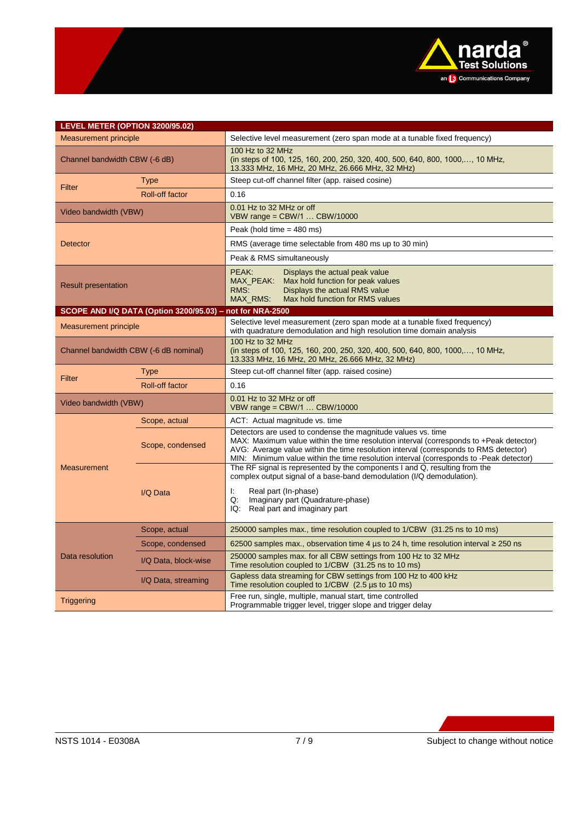

| LEVEL METER (OPTION 3200/95.02)       |                                                           |                                                                                                                                                                                                                                                                                                                                          |  |  |  |  |
|---------------------------------------|-----------------------------------------------------------|------------------------------------------------------------------------------------------------------------------------------------------------------------------------------------------------------------------------------------------------------------------------------------------------------------------------------------------|--|--|--|--|
| Measurement principle                 |                                                           | Selective level measurement (zero span mode at a tunable fixed frequency)                                                                                                                                                                                                                                                                |  |  |  |  |
| Channel bandwidth CBW (-6 dB)         |                                                           | 100 Hz to 32 MHz<br>(in steps of 100, 125, 160, 200, 250, 320, 400, 500, 640, 800, 1000,, 10 MHz,<br>13.333 MHz, 16 MHz, 20 MHz, 26.666 MHz, 32 MHz)                                                                                                                                                                                     |  |  |  |  |
| Filter                                | Type                                                      | Steep cut-off channel filter (app. raised cosine)                                                                                                                                                                                                                                                                                        |  |  |  |  |
|                                       | Roll-off factor                                           | 0.16                                                                                                                                                                                                                                                                                                                                     |  |  |  |  |
| Video bandwidth (VBW)                 |                                                           | 0.01 Hz to 32 MHz or off<br>VBW range = CBW/1  CBW/10000                                                                                                                                                                                                                                                                                 |  |  |  |  |
|                                       |                                                           | Peak (hold time $=$ 480 ms)                                                                                                                                                                                                                                                                                                              |  |  |  |  |
| Detector                              |                                                           | RMS (average time selectable from 480 ms up to 30 min)                                                                                                                                                                                                                                                                                   |  |  |  |  |
|                                       |                                                           | Peak & RMS simultaneously                                                                                                                                                                                                                                                                                                                |  |  |  |  |
| <b>Result presentation</b>            |                                                           | PEAK:<br>Displays the actual peak value<br>Max hold function for peak values<br>MAX_PEAK:<br>RMS.<br>Displays the actual RMS value<br>MAX RMS:<br>Max hold function for RMS values                                                                                                                                                       |  |  |  |  |
|                                       | SCOPE AND I/Q DATA (Option 3200/95.03) - not for NRA-2500 |                                                                                                                                                                                                                                                                                                                                          |  |  |  |  |
| <b>Measurement principle</b>          |                                                           | Selective level measurement (zero span mode at a tunable fixed frequency)<br>with quadrature demodulation and high resolution time domain analysis                                                                                                                                                                                       |  |  |  |  |
| Channel bandwidth CBW (-6 dB nominal) |                                                           | 100 Hz to 32 MHz<br>(in steps of 100, 125, 160, 200, 250, 320, 400, 500, 640, 800, 1000,, 10 MHz,<br>13.333 MHz, 16 MHz, 20 MHz, 26.666 MHz, 32 MHz)                                                                                                                                                                                     |  |  |  |  |
| Filter                                | Type                                                      | Steep cut-off channel filter (app. raised cosine)                                                                                                                                                                                                                                                                                        |  |  |  |  |
|                                       | Roll-off factor                                           | 0.16                                                                                                                                                                                                                                                                                                                                     |  |  |  |  |
| Video bandwidth (VBW)                 |                                                           | 0.01 Hz to 32 MHz or off<br>VBW range = CBW/1  CBW/10000                                                                                                                                                                                                                                                                                 |  |  |  |  |
|                                       | Scope, actual                                             | ACT: Actual magnitude vs. time                                                                                                                                                                                                                                                                                                           |  |  |  |  |
|                                       | Scope, condensed                                          | Detectors are used to condense the magnitude values vs. time<br>MAX: Maximum value within the time resolution interval (corresponds to +Peak detector)<br>AVG: Average value within the time resolution interval (corresponds to RMS detector)<br>MIN: Minimum value within the time resolution interval (corresponds to -Peak detector) |  |  |  |  |
| <b>Measurement</b>                    |                                                           | The RF signal is represented by the components I and Q, resulting from the<br>complex output signal of a base-band demodulation (I/Q demodulation).                                                                                                                                                                                      |  |  |  |  |
|                                       | I/Q Data                                                  | Ŀ.<br>Real part (In-phase)<br>Imaginary part (Quadrature-phase)<br>Q.<br>IQ: Real part and imaginary part                                                                                                                                                                                                                                |  |  |  |  |
|                                       | Scope, actual                                             | 250000 samples max., time resolution coupled to 1/CBW (31.25 ns to 10 ms)                                                                                                                                                                                                                                                                |  |  |  |  |
|                                       | Scope, condensed                                          | 62500 samples max., observation time 4 $\mu$ s to 24 h, time resolution interval $\geq$ 250 ns                                                                                                                                                                                                                                           |  |  |  |  |
| Data resolution                       | I/Q Data, block-wise                                      | 250000 samples max. for all CBW settings from 100 Hz to 32 MHz<br>Time resolution coupled to 1/CBW (31.25 ns to 10 ms)                                                                                                                                                                                                                   |  |  |  |  |
|                                       | I/Q Data, streaming                                       | Gapless data streaming for CBW settings from 100 Hz to 400 kHz<br>Time resolution coupled to 1/CBW (2.5 µs to 10 ms)                                                                                                                                                                                                                     |  |  |  |  |
| <b>Triggering</b>                     |                                                           | Free run, single, multiple, manual start, time controlled<br>Programmable trigger level, trigger slope and trigger delay                                                                                                                                                                                                                 |  |  |  |  |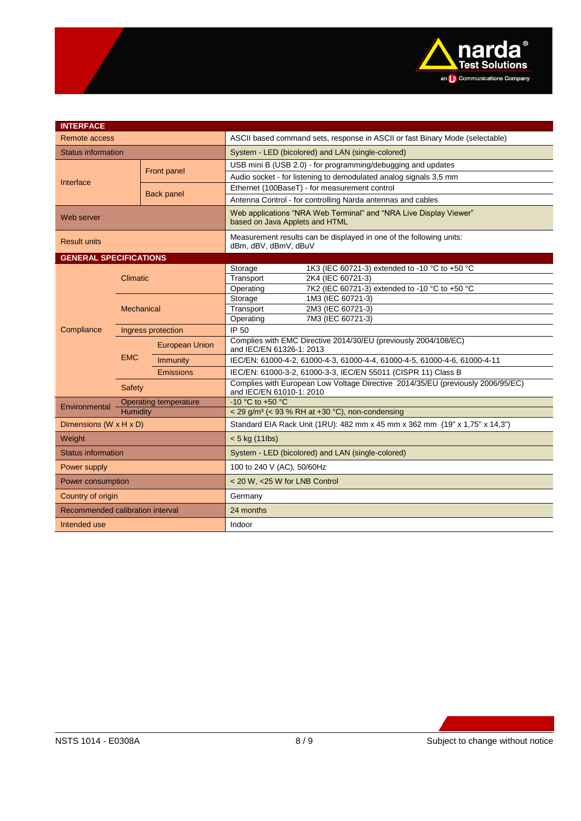

| <b>INTERFACE</b>                     |                    |                              |                                                                                                             |  |  |  |  |
|--------------------------------------|--------------------|------------------------------|-------------------------------------------------------------------------------------------------------------|--|--|--|--|
| Remote access                        |                    |                              | ASCII based command sets, response in ASCII or fast Binary Mode (selectable)                                |  |  |  |  |
| <b>Status information</b>            |                    |                              | System - LED (bicolored) and LAN (single-colored)                                                           |  |  |  |  |
|                                      |                    |                              | USB mini B (USB 2.0) - for programming/debugging and updates                                                |  |  |  |  |
|                                      |                    | Front panel                  | Audio socket - for listening to demodulated analog signals 3.5 mm                                           |  |  |  |  |
| Interface                            |                    |                              | Ethernet (100BaseT) - for measurement control                                                               |  |  |  |  |
|                                      |                    | <b>Back panel</b>            | Antenna Control - for controlling Narda antennas and cables                                                 |  |  |  |  |
| Web server                           |                    |                              | Web applications "NRA Web Terminal" and "NRA Live Display Viewer"<br>based on Java Applets and HTML         |  |  |  |  |
| <b>Result units</b>                  |                    |                              | Measurement results can be displayed in one of the following units:<br>dBm, dBV, dBmV, dBuV                 |  |  |  |  |
| <b>GENERAL SPECIFICATIONS</b>        |                    |                              |                                                                                                             |  |  |  |  |
|                                      | Climatic           |                              | 1K3 (IEC 60721-3) extended to -10 °C to +50 °C<br>Storage                                                   |  |  |  |  |
|                                      |                    |                              | 2K4 (IEC 60721-3)<br>Transport                                                                              |  |  |  |  |
|                                      |                    |                              | 7K2 (IEC 60721-3) extended to -10 °C to +50 °C<br>Operating                                                 |  |  |  |  |
|                                      |                    |                              | Storage<br>1M3 (IEC 60721-3)                                                                                |  |  |  |  |
|                                      | <b>Mechanical</b>  |                              | 2M3 (IEC 60721-3)<br>Transport<br>7M3 (IEC 60721-3)                                                         |  |  |  |  |
|                                      |                    |                              | Operating<br>IP 50                                                                                          |  |  |  |  |
| Compliance                           | Ingress protection |                              | Complies with EMC Directive 2014/30/EU (previously 2004/108/EC)                                             |  |  |  |  |
|                                      | <b>EMC</b>         | <b>European Union</b>        | and IEC/EN 61326-1: 2013                                                                                    |  |  |  |  |
|                                      |                    | <b>Immunity</b>              | IEC/EN: 61000-4-2, 61000-4-3, 61000-4-4, 61000-4-5, 61000-4-6, 61000-4-11                                   |  |  |  |  |
|                                      |                    | Emissions                    | IEC/EN: 61000-3-2, 61000-3-3, IEC/EN 55011 (CISPR 11) Class B                                               |  |  |  |  |
|                                      | <b>Safety</b>      |                              | Complies with European Low Voltage Directive 2014/35/EU (previously 2006/95/EC)<br>and IEC/EN 61010-1: 2010 |  |  |  |  |
| Environmental                        |                    | <b>Operating temperature</b> | -10 °C to +50 °C                                                                                            |  |  |  |  |
|                                      | Humidity           |                              | < 29 g/m <sup>3</sup> (< 93 % RH at +30 °C), non-condensing                                                 |  |  |  |  |
| Dimensions (W $\times$ H $\times$ D) |                    |                              | Standard EIA Rack Unit (1RU): 482 mm x 45 mm x 362 mm (19" x 1,75" x 14,3")                                 |  |  |  |  |
| Weight                               |                    |                              | $< 5$ kg (11lbs)                                                                                            |  |  |  |  |
| <b>Status information</b>            |                    |                              | System - LED (bicolored) and LAN (single-colored)                                                           |  |  |  |  |
| Power supply                         |                    |                              | 100 to 240 V (AC), 50/60Hz                                                                                  |  |  |  |  |
| Power consumption                    |                    |                              | < 20 W, < 25 W for LNB Control                                                                              |  |  |  |  |
| Country of origin                    |                    |                              | Germany                                                                                                     |  |  |  |  |
| Recommended calibration interval     |                    |                              | 24 months                                                                                                   |  |  |  |  |
| Intended use                         |                    |                              | Indoor                                                                                                      |  |  |  |  |